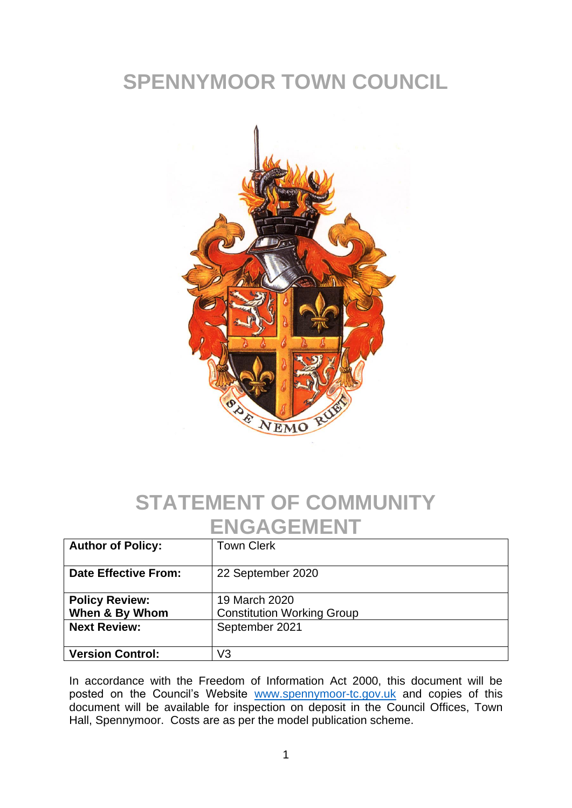# **SPENNYMOOR TOWN COUNCIL**



#### **STATEMENT OF COMMUNITY ENGAGEMENT**

| <b>Author of Policy:</b>                | <b>Town Clerk</b>                                  |
|-----------------------------------------|----------------------------------------------------|
| <b>Date Effective From:</b>             | 22 September 2020                                  |
| <b>Policy Review:</b><br>When & By Whom | 19 March 2020<br><b>Constitution Working Group</b> |
| <b>Next Review:</b>                     | September 2021                                     |
| <b>Version Control:</b>                 | V3                                                 |

In accordance with the Freedom of Information Act 2000, this document will be posted on the Council's Website [www.spennymoor-tc.gov.uk](http://www.spennymoor-tc.gov.uk/) and copies of this document will be available for inspection on deposit in the Council Offices, Town Hall, Spennymoor. Costs are as per the model publication scheme.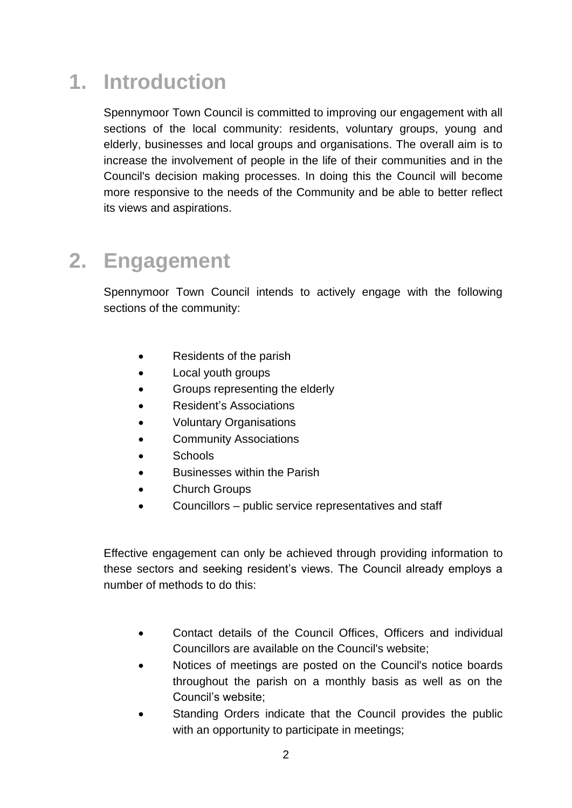# **1. Introduction**

Spennymoor Town Council is committed to improving our engagement with all sections of the local community: residents, voluntary groups, young and elderly, businesses and local groups and organisations. The overall aim is to increase the involvement of people in the life of their communities and in the Council's decision making processes. In doing this the Council will become more responsive to the needs of the Community and be able to better reflect its views and aspirations.

### **2. Engagement**

Spennymoor Town Council intends to actively engage with the following sections of the community:

- Residents of the parish
- Local youth groups
- Groups representing the elderly
- Resident's Associations
- Voluntary Organisations
- **Community Associations**
- Schools
- Businesses within the Parish
- Church Groups
- Councillors public service representatives and staff

Effective engagement can only be achieved through providing information to these sectors and seeking resident's views. The Council already employs a number of methods to do this:

- Contact details of the Council Offices, Officers and individual Councillors are available on the Council's website;
- Notices of meetings are posted on the Council's notice boards throughout the parish on a monthly basis as well as on the Council's website;
- Standing Orders indicate that the Council provides the public with an opportunity to participate in meetings;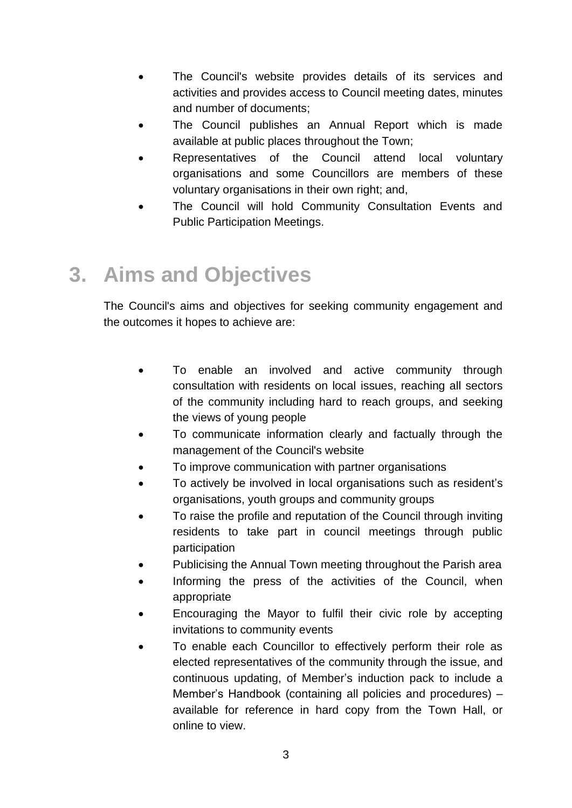- The Council's website provides details of its services and activities and provides access to Council meeting dates, minutes and number of documents;
- The Council publishes an Annual Report which is made available at public places throughout the Town;
- Representatives of the Council attend local voluntary organisations and some Councillors are members of these voluntary organisations in their own right; and,
- The Council will hold Community Consultation Events and Public Participation Meetings.

### **3. Aims and Objectives**

The Council's aims and objectives for seeking community engagement and the outcomes it hopes to achieve are:

- To enable an involved and active community through consultation with residents on local issues, reaching all sectors of the community including hard to reach groups, and seeking the views of young people
- To communicate information clearly and factually through the management of the Council's website
- To improve communication with partner organisations
- To actively be involved in local organisations such as resident's organisations, youth groups and community groups
- To raise the profile and reputation of the Council through inviting residents to take part in council meetings through public participation
- Publicising the Annual Town meeting throughout the Parish area
- Informing the press of the activities of the Council, when appropriate
- Encouraging the Mayor to fulfil their civic role by accepting invitations to community events
- To enable each Councillor to effectively perform their role as elected representatives of the community through the issue, and continuous updating, of Member's induction pack to include a Member's Handbook (containing all policies and procedures) – available for reference in hard copy from the Town Hall, or online to view.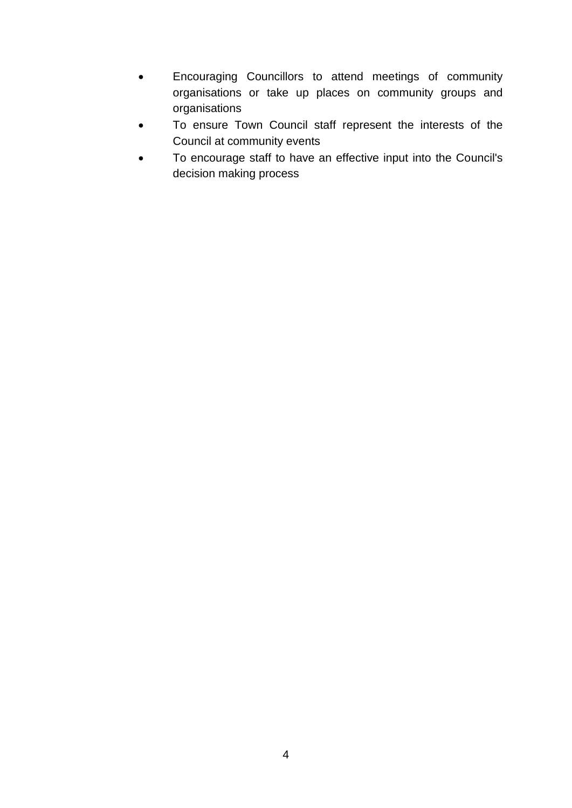- Encouraging Councillors to attend meetings of community organisations or take up places on community groups and organisations
- To ensure Town Council staff represent the interests of the Council at community events
- To encourage staff to have an effective input into the Council's decision making process